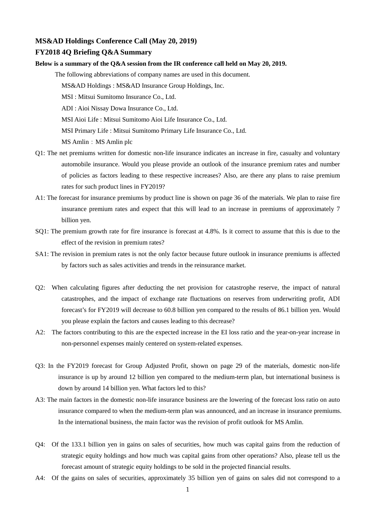## **MS&AD Holdings Conference Call (May 20, 2019)**

## **FY2018 4Q Briefing Q&A Summary**

**Below is a summary of the Q&A session from the IR conference call held on May 20, 2019.**

The following abbreviations of company names are used in this document.

MS&AD Holdings : MS&AD Insurance Group Holdings, Inc.

MSI : Mitsui Sumitomo Insurance Co., Ltd.

ADI : Aioi Nissay Dowa Insurance Co., Ltd.

MSI Aioi Life : Mitsui Sumitomo Aioi Life Insurance Co., Ltd.

MSI Primary Life : Mitsui Sumitomo Primary Life Insurance Co., Ltd.

MS Amlin: MS Amlin plc

- Q1: The net premiums written for domestic non-life insurance indicates an increase in fire, casualty and voluntary automobile insurance. Would you please provide an outlook of the insurance premium rates and number of policies as factors leading to these respective increases? Also, are there any plans to raise premium rates for such product lines in FY2019?
- A1: The forecast for insurance premiums by product line is shown on page 36 of the materials. We plan to raise fire insurance premium rates and expect that this will lead to an increase in premiums of approximately 7 billion yen.
- SQ1: The premium growth rate for fire insurance is forecast at 4.8%. Is it correct to assume that this is due to the effect of the revision in premium rates?
- SA1: The revision in premium rates is not the only factor because future outlook in insurance premiums is affected by factors such as sales activities and trends in the reinsurance market.
- Q2: When calculating figures after deducting the net provision for catastrophe reserve, the impact of natural catastrophes, and the impact of exchange rate fluctuations on reserves from underwriting profit, ADI forecast's for FY2019 will decrease to 60.8 billion yen compared to the results of 86.1 billion yen. Would you please explain the factors and causes leading to this decrease?
- A2: The factors contributing to this are the expected increase in the EI loss ratio and the year-on-year increase in non-personnel expenses mainly centered on system-related expenses.
- Q3: In the FY2019 forecast for Group Adjusted Profit, shown on page 29 of the materials, domestic non-life insurance is up by around 12 billion yen compared to the medium-term plan, but international business is down by around 14 billion yen. What factors led to this?
- A3: The main factors in the domestic non-life insurance business are the lowering of the forecast loss ratio on auto insurance compared to when the medium-term plan was announced, and an increase in insurance premiums. In the international business, the main factor was the revision of profit outlook for MS Amlin.
- Q4: Of the 133.1 billion yen in gains on sales of securities, how much was capital gains from the reduction of strategic equity holdings and how much was capital gains from other operations? Also, please tell us the forecast amount of strategic equity holdings to be sold in the projected financial results.
- A4: Of the gains on sales of securities, approximately 35 billion yen of gains on sales did not correspond to a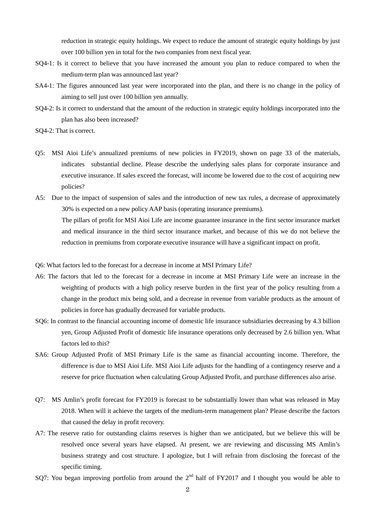reduction in strategic equity holdings. We expect to reduce the amount of strategic equity holdings by just over 100 billion yen in total for the two companies from next fiscal year.

- SQ4-1: Is it correct to believe that you have increased the amount you plan to reduce compared to when the medium-term plan was announced last year?
- SA4-1: The figures announced last year were incorporated into the plan, and there is no change in the policy of aiming to sell just over 100 billion yen annually.
- SQ4-2: Is it correct to understand that the amount of the reduction in strategic equity holdings incorporated into the plan has also been increased?
- SQ4-2: That is correct.
- Q5: MSI Aioi Life's annualized premiums of new policies in FY2019, shown on page 33 of the materials, indicates substantial decline. Please describe the underlying sales plans for corporate insurance and executive insurance. If sales exceed the forecast, will income be lowered due to the cost of acquiring new policies?
- A5: Due to the impact of suspension of sales and the introduction of new tax rules, a decrease of approximately 30% is expected on a new policy AAP basis (operating insurance premiums). The pillars of profit for MSI Aioi Life are income guarantee insurance in the first sector insurance market and medical insurance in the third sector insurance market, and because of this we do not believe the reduction in premiums from corporate executive insurance will have a significant impact on profit.
- Q6: What factors led to the forecast for a decrease in income at MSI Primary Life?
- A6: The factors that led to the forecast for a decrease in income at MSI Primary Life were an increase in the weighting of products with a high policy reserve burden in the first year of the policy resulting from a change in the product mix being sold, and a decrease in revenue from variable products as the amount of policies in force has gradually decreased for variable products.
- SQ6: In contrast to the financial accounting income of domestic life insurance subsidiaries decreasing by 4.3 billion yen, Group Adjusted Profit of domestic life insurance operations only decreased by 2.6 billion yen. What factors led to this?
- SA6: Group Adjusted Profit of MSI Primary Life is the same as financial accounting income. Therefore, the difference is due to MSI Aioi Life. MSI Aioi Life adjusts for the handling of a contingency reserve and a reserve for price fluctuation when calculating Group Adjusted Profit, and purchase differences also arise.
- Q7: MS Amlin's profit forecast for FY2019 is forecast to be substantially lower than what was released in May 2018. When will it achieve the targets of the medium-term management plan? Please describe the factors that caused the delay in profit recovery.
- A7: The reserve ratio for outstanding claims reserves is higher than we anticipated, but we believe this will be resolved once several years have elapsed. At present, we are reviewing and discussing MS Amlin's business strategy and cost structure. I apologize, but I will refrain from disclosing the forecast of the specific timing.
- SQ7: You began improving portfolio from around the  $2<sup>nd</sup>$  half of FY2017 and I thought you would be able to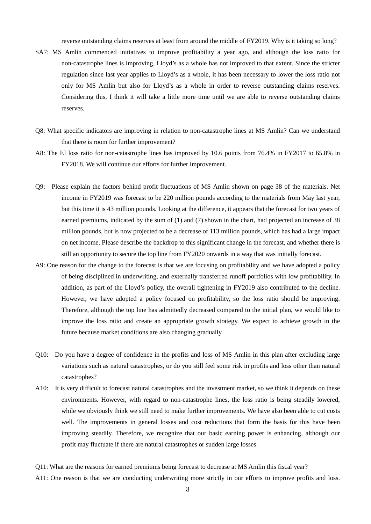reverse outstanding claims reserves at least from around the middle of FY2019. Why is it taking so long?

- SA7: MS Amlin commenced initiatives to improve profitability a year ago, and although the loss ratio for non-catastrophe lines is improving, Lloyd's as a whole has not improved to that extent. Since the stricter regulation since last year applies to Lloyd's as a whole, it has been necessary to lower the loss ratio not only for MS Amlin but also for Lloyd's as a whole in order to reverse outstanding claims reserves. Considering this, I think it will take a little more time until we are able to reverse outstanding claims reserves.
- Q8: What specific indicators are improving in relation to non-catastrophe lines at MS Amlin? Can we understand that there is room for further improvement?
- A8: The EI loss ratio for non-catastrophe lines has improved by 10.6 points from 76.4% in FY2017 to 65.8% in FY2018. We will continue our efforts for further improvement.
- Q9: Please explain the factors behind profit fluctuations of MS Amlin shown on page 38 of the materials. Net income in FY2019 was forecast to be 220 million pounds according to the materials from May last year, but this time it is 43 million pounds. Looking at the difference, it appears that the forecast for two years of earned premiums, indicated by the sum of (1) and (7) shown in the chart, had projected an increase of 38 million pounds, but is now projected to be a decrease of 113 million pounds, which has had a large impact on net income. Please describe the backdrop to this significant change in the forecast, and whether there is still an opportunity to secure the top line from FY2020 onwards in a way that was initially forecast.
- A9: One reason for the change to the forecast is that we are focusing on profitability and we have adopted a policy of being disciplined in underwriting, and externally transferred runoff portfolios with low profitability. In addition, as part of the Lloyd's policy, the overall tightening in FY2019 also contributed to the decline. However, we have adopted a policy focused on profitability, so the loss ratio should be improving. Therefore, although the top line has admittedly decreased compared to the initial plan, we would like to improve the loss ratio and create an appropriate growth strategy. We expect to achieve growth in the future because market conditions are also changing gradually.
- Q10: Do you have a degree of confidence in the profits and loss of MS Amlin in this plan after excluding large variations such as natural catastrophes, or do you still feel some risk in profits and loss other than natural catastrophes?
- A10: It is very difficult to forecast natural catastrophes and the investment market, so we think it depends on these environments. However, with regard to non-catastrophe lines, the loss ratio is being steadily lowered, while we obviously think we still need to make further improvements. We have also been able to cut costs well. The improvements in general losses and cost reductions that form the basis for this have been improving steadily. Therefore, we recognize that our basic earning power is enhancing, although our profit may fluctuate if there are natural catastrophes or sudden large losses.
- Q11: What are the reasons for earned premiums being forecast to decrease at MS Amlin this fiscal year?
- A11: One reason is that we are conducting underwriting more strictly in our efforts to improve profits and loss.